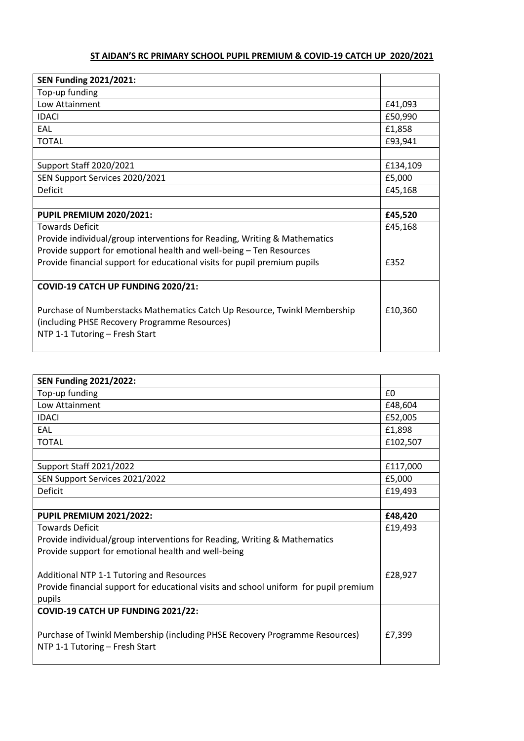## **ST AIDAN'S RC PRIMARY SCHOOL PUPIL PREMIUM & COVID-19 CATCH UP 2020/2021**

| <b>SEN Funding 2021/2021:</b>                                                                                                                                |          |
|--------------------------------------------------------------------------------------------------------------------------------------------------------------|----------|
| Top-up funding                                                                                                                                               |          |
| Low Attainment                                                                                                                                               | £41,093  |
| <b>IDACI</b>                                                                                                                                                 | £50,990  |
| EAL                                                                                                                                                          | £1,858   |
| <b>TOTAL</b>                                                                                                                                                 | £93,941  |
|                                                                                                                                                              |          |
| Support Staff 2020/2021                                                                                                                                      | £134,109 |
| SEN Support Services 2020/2021                                                                                                                               | £5,000   |
| Deficit                                                                                                                                                      | £45,168  |
|                                                                                                                                                              |          |
| <b>PUPIL PREMIUM 2020/2021:</b>                                                                                                                              | £45,520  |
| <b>Towards Deficit</b>                                                                                                                                       | £45,168  |
| Provide individual/group interventions for Reading, Writing & Mathematics                                                                                    |          |
| Provide support for emotional health and well-being - Ten Resources                                                                                          |          |
| Provide financial support for educational visits for pupil premium pupils                                                                                    | £352     |
|                                                                                                                                                              |          |
| COVID-19 CATCH UP FUNDING 2020/21:                                                                                                                           |          |
| Purchase of Numberstacks Mathematics Catch Up Resource, Twinkl Membership<br>(including PHSE Recovery Programme Resources)<br>NTP 1-1 Tutoring - Fresh Start | £10,360  |

| <b>SEN Funding 2021/2022:</b>                                                         |          |  |  |  |
|---------------------------------------------------------------------------------------|----------|--|--|--|
| Top-up funding                                                                        | £0       |  |  |  |
| Low Attainment                                                                        | £48,604  |  |  |  |
| <b>IDACI</b>                                                                          | £52,005  |  |  |  |
| EAL                                                                                   | £1,898   |  |  |  |
| <b>TOTAL</b>                                                                          | £102,507 |  |  |  |
|                                                                                       |          |  |  |  |
| Support Staff 2021/2022                                                               | £117,000 |  |  |  |
| SEN Support Services 2021/2022                                                        | £5,000   |  |  |  |
| Deficit                                                                               | £19,493  |  |  |  |
|                                                                                       |          |  |  |  |
| <b>PUPIL PREMIUM 2021/2022:</b>                                                       | £48,420  |  |  |  |
| <b>Towards Deficit</b>                                                                |          |  |  |  |
| Provide individual/group interventions for Reading, Writing & Mathematics             |          |  |  |  |
| Provide support for emotional health and well-being                                   |          |  |  |  |
|                                                                                       |          |  |  |  |
| Additional NTP 1-1 Tutoring and Resources                                             | £28,927  |  |  |  |
| Provide financial support for educational visits and school uniform for pupil premium |          |  |  |  |
| pupils                                                                                |          |  |  |  |
| COVID-19 CATCH UP FUNDING 2021/22:                                                    |          |  |  |  |
|                                                                                       |          |  |  |  |
| Purchase of Twinkl Membership (including PHSE Recovery Programme Resources)           |          |  |  |  |
| NTP 1-1 Tutoring - Fresh Start                                                        |          |  |  |  |
|                                                                                       |          |  |  |  |